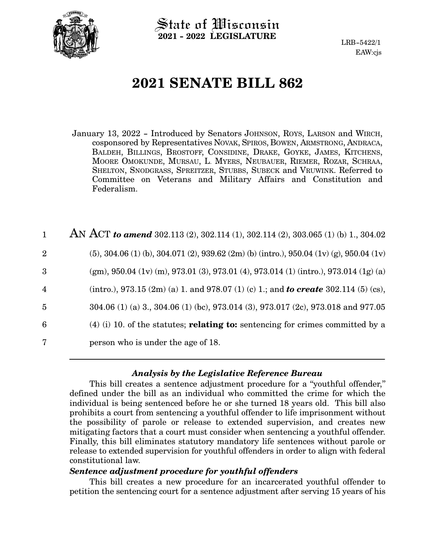

State of Wisconsin **2021 - 2022 LEGISLATURE**

LRB-5422/1 EAW:cjs

# **2021 SENATE BILL 862**

January 13, 2022 - Introduced by Senators JOHNSON, ROYS, LARSON and WIRCH, cosponsored by Representatives NOVAK, SPIROS, BOWEN, ARMSTRONG, ANDRACA, BALDEH, BILLINGS, BROSTOFF, CONSIDINE, DRAKE, GOYKE, JAMES, KITCHENS, MOORE OMOKUNDE, MURSAU, L. MYERS, NEUBAUER, RIEMER, ROZAR, SCHRAA, SHELTON, SNODGRASS, SPREITZER, STUBBS, SUBECK and VRUWINK. Referred to Committee on Veterans and Military Affairs and Constitution and Federalism.

| $\mathbf{1}$   | AN ACT to amend 302.113 (2), 302.114 (1), 302.114 (2), 303.065 (1) (b) 1, 304.02            |
|----------------|---------------------------------------------------------------------------------------------|
| $\overline{2}$ | $(5)$ , 304.06 (1) (b), 304.071 (2), 939.62 (2m) (b) (intro.), 950.04 (1v) (g), 950.04 (1v) |
| 3              | (gm), 950.04 (1v) (m), 973.01 (3), 973.01 (4), 973.014 (1) (intro.), 973.014 (1g) (a)       |
| $\overline{4}$ | (intro.), 973.15 (2m) (a) 1. and 978.07 (1) (c) 1.; and <b>to create</b> 302.114 (5) (cs),  |
| $\overline{5}$ | 304.06 (1) (a) 3., 304.06 (1) (bc), 973.014 (3), 973.017 (2c), 973.018 and 977.05           |
| 6              | $(4)$ (i) 10. of the statutes; <b>relating to:</b> sentencing for crimes committed by a     |
| 7              | person who is under the age of 18.                                                          |

# *Analysis by the Legislative Reference Bureau*

This bill creates a sentence adjustment procedure for a "youthful offender," defined under the bill as an individual who committed the crime for which the individual is being sentenced before he or she turned 18 years old. This bill also prohibits a court from sentencing a youthful offender to life imprisonment without the possibility of parole or release to extended supervision, and creates new mitigating factors that a court must consider when sentencing a youthful offender. Finally, this bill eliminates statutory mandatory life sentences without parole or release to extended supervision for youthful offenders in order to align with federal constitutional law.

# *Sentence adjustment procedure for youthful offenders*

This bill creates a new procedure for an incarcerated youthful offender to petition the sentencing court for a sentence adjustment after serving 15 years of his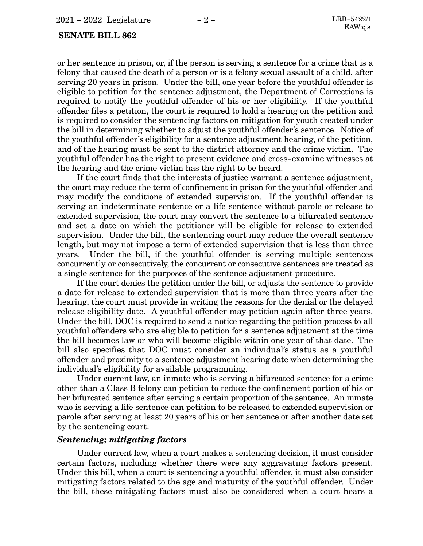#### **SENATE BILL 862**

or her sentence in prison, or, if the person is serving a sentence for a crime that is a felony that caused the death of a person or is a felony sexual assault of a child, after serving 20 years in prison. Under the bill, one year before the youthful offender is eligible to petition for the sentence adjustment, the Department of Corrections is required to notify the youthful offender of his or her eligibility. If the youthful offender files a petition, the court is required to hold a hearing on the petition and is required to consider the sentencing factors on mitigation for youth created under the bill in determining whether to adjust the youthful offender's sentence. Notice of the youthful offender's eligibility for a sentence adjustment hearing, of the petition, and of the hearing must be sent to the district attorney and the crime victim. The youthful offender has the right to present evidence and cross-examine witnesses at the hearing and the crime victim has the right to be heard.

If the court finds that the interests of justice warrant a sentence adjustment, the court may reduce the term of confinement in prison for the youthful offender and may modify the conditions of extended supervision. If the youthful offender is serving an indeterminate sentence or a life sentence without parole or release to extended supervision, the court may convert the sentence to a bifurcated sentence and set a date on which the petitioner will be eligible for release to extended supervision. Under the bill, the sentencing court may reduce the overall sentence length, but may not impose a term of extended supervision that is less than three years. Under the bill, if the youthful offender is serving multiple sentences concurrently or consecutively, the concurrent or consecutive sentences are treated as a single sentence for the purposes of the sentence adjustment procedure.

If the court denies the petition under the bill, or adjusts the sentence to provide a date for release to extended supervision that is more than three years after the hearing, the court must provide in writing the reasons for the denial or the delayed release eligibility date. A youthful offender may petition again after three years. Under the bill, DOC is required to send a notice regarding the petition process to all youthful offenders who are eligible to petition for a sentence adjustment at the time the bill becomes law or who will become eligible within one year of that date. The bill also specifies that DOC must consider an individual's status as a youthful offender and proximity to a sentence adjustment hearing date when determining the individual's eligibility for available programming.

Under current law, an inmate who is serving a bifurcated sentence for a crime other than a Class B felony can petition to reduce the confinement portion of his or her bifurcated sentence after serving a certain proportion of the sentence. An inmate who is serving a life sentence can petition to be released to extended supervision or parole after serving at least 20 years of his or her sentence or after another date set by the sentencing court.

# *Sentencing; mitigating factors*

Under current law, when a court makes a sentencing decision, it must consider certain factors, including whether there were any aggravating factors present. Under this bill, when a court is sentencing a youthful offender, it must also consider mitigating factors related to the age and maturity of the youthful offender. Under the bill, these mitigating factors must also be considered when a court hears a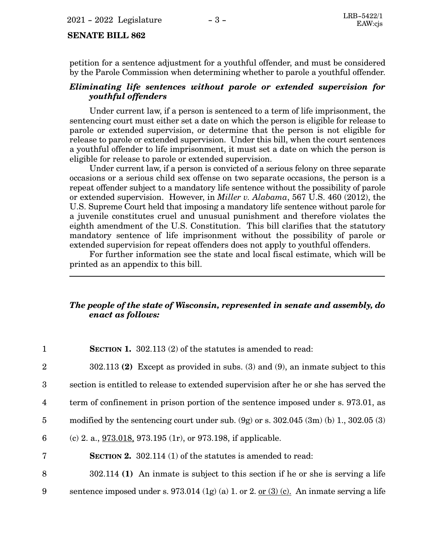#### **SENATE BILL 862**

petition for a sentence adjustment for a youthful offender, and must be considered by the Parole Commission when determining whether to parole a youthful offender.

#### *Eliminating life sentences without parole or extended supervision for youthful offenders*

Under current law, if a person is sentenced to a term of life imprisonment, the sentencing court must either set a date on which the person is eligible for release to parole or extended supervision, or determine that the person is not eligible for release to parole or extended supervision. Under this bill, when the court sentences a youthful offender to life imprisonment, it must set a date on which the person is eligible for release to parole or extended supervision.

Under current law, if a person is convicted of a serious felony on three separate occasions or a serious child sex offense on two separate occasions, the person is a repeat offender subject to a mandatory life sentence without the possibility of parole or extended supervision. However, in *Miller v. Alabama*, 567 U.S. 460 (2012), the U.S. Supreme Court held that imposing a mandatory life sentence without parole for a juvenile constitutes cruel and unusual punishment and therefore violates the eighth amendment of the U.S. Constitution. This bill clarifies that the statutory mandatory sentence of life imprisonment without the possibility of parole or extended supervision for repeat offenders does not apply to youthful offenders.

For further information see the state and local fiscal estimate, which will be printed as an appendix to this bill.

# *The people of the state of Wisconsin, represented in senate and assembly, do enact as follows:*

| $\mathbf{1}$    | <b>SECTION 1.</b> 302.113 (2) of the statutes is amended to read:                               |
|-----------------|-------------------------------------------------------------------------------------------------|
| $\overline{2}$  | $302.113$ (2) Except as provided in subs. (3) and (9), an inmate subject to this                |
| $\overline{3}$  | section is entitled to release to extended supervision after he or she has served the           |
| $\overline{4}$  | term of confinement in prison portion of the sentence imposed under s. 973.01, as               |
| $5\overline{)}$ | modified by the sentencing court under sub. $(9g)$ or s. $302.045$ $(3m)$ (b) 1, $302.05$ $(3)$ |
| 6               | (c) 2. a., $\frac{973.018}{973.195}$ , $(1r)$ , or 973.198, if applicable.                      |
| $\overline{7}$  | <b>SECTION 2.</b> 302.114 (1) of the statutes is amended to read:                               |
| 8               | $302.114$ (1) An inmate is subject to this section if he or she is serving a life               |
| 9               | sentence imposed under s. 973.014 (1g) (a) 1. or 2. or $(3)$ (c). An inmate serving a life      |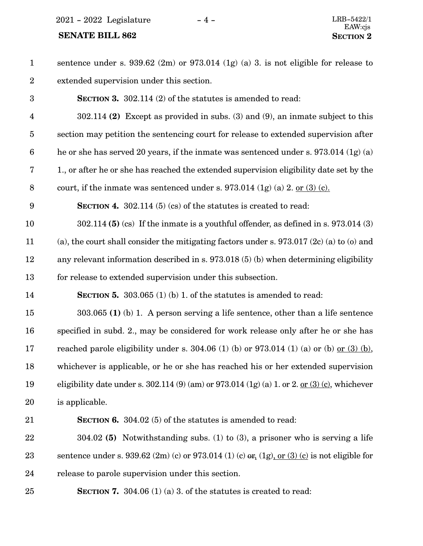$2021$  -  $2022$  Legislature - 4 -

| $\mathbf{1}$     | sentence under s. $939.62$ (2m) or $973.014$ (1g) (a) 3. is not eligible for release to               |
|------------------|-------------------------------------------------------------------------------------------------------|
| $\overline{2}$   | extended supervision under this section.                                                              |
| $\boldsymbol{3}$ | <b>SECTION 3.</b> 302.114 (2) of the statutes is amended to read:                                     |
| $\overline{4}$   | $302.114$ (2) Except as provided in subs. (3) and (9), an inmate subject to this                      |
| $\overline{5}$   | section may petition the sentencing court for release to extended supervision after                   |
| $\boldsymbol{6}$ | he or she has served 20 years, if the inmate was sentenced under s. $973.014$ (1g) (a)                |
| 7                | 1., or after he or she has reached the extended supervision eligibility date set by the               |
| $8\,$            | court, if the inmate was sentenced under s. $973.014$ (1g) (a) 2. or (3) (c).                         |
| 9                | <b>SECTION 4.</b> 302.114 (5) (cs) of the statures is created to read:                                |
| 10               | $302.114$ (5) (cs) If the inmate is a youthful offender, as defined in s. 973.014 (3)                 |
| 11               | (a), the court shall consider the mitigating factors under s. $973.017$ (2c) (a) to (o) and           |
| 12               | any relevant information described in s. 973.018 (5) (b) when determining eligibility                 |
| 13               | for release to extended supervision under this subsection.                                            |
| 14               | <b>SECTION 5.</b> 303.065 (1) (b) 1. of the statures is amended to read:                              |
| 15               | $303.065$ (1) (b) 1. A person serving a life sentence, other than a life sentence                     |
| 16               | specified in subd. 2., may be considered for work release only after he or she has                    |
| 17               | reached parole eligibility under s. 304.06 (1) (b) or 973.014 (1) (a) or (b) or (3) (b),              |
| 18               | whichever is applicable, or he or she has reached his or her extended supervision                     |
| 19               | eligibility date under s. 302.114 (9) (am) or 973.014 (1g) (a) 1. or 2. <u>or (3) (c)</u> , whichever |
| 20               | is applicable.                                                                                        |
| 21               | <b>SECTION 6.</b> 304.02 (5) of the statutes is amended to read:                                      |
| 22               | 304.02 (5) Notwithstanding subs. (1) to (3), a prisoner who is serving a life                         |
| 23               | sentence under s. 939.62 $(2m)$ (c) or 973.014 (1) (c) $er_1(1g)$ , or (3) (c) is not eligible for    |
| 24               | release to parole supervision under this section.                                                     |
| 25               | <b>SECTION 7.</b> 304.06 (1) (a) 3. of the statutes is created to read:                               |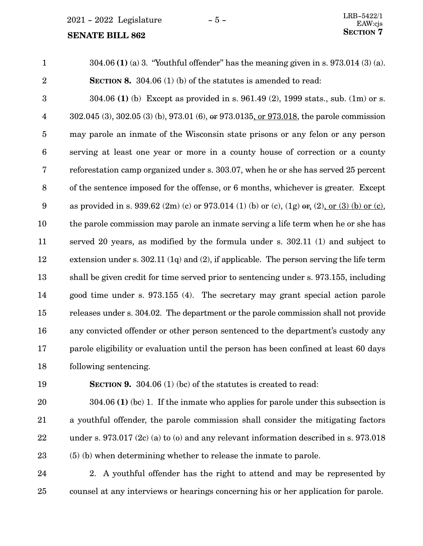$2021 - 2022$  Legislature  $-5 -$ 

#### **SENATE BILL 862**

304.06 **(1)** (a) 3. "Youthful offender" has the meaning given in s. 973.014 (3) (a). **SECTION 8.** 304.06 (1) (b) of the statutes is amended to read: 304.06 **(1)** (b) Except as provided in s. 961.49 (2), 1999 stats., sub. (1m) or s. 302.045 (3), 302.05 (3) (b), 973.01 (6), or 973.0135, or 973.018, the parole commission may parole an inmate of the Wisconsin state prisons or any felon or any person serving at least one year or more in a county house of correction or a county reforestation camp organized under s. 303.07, when he or she has served 25 percent of the sentence imposed for the offense, or 6 months, whichever is greater. Except as provided in s. 939.62 (2m) (c) or 973.014 (1) (b) or (c), (1g)  $er_2$  (2), or (3) (b) or (c), the parole commission may parole an inmate serving a life term when he or she has served 20 years, as modified by the formula under s. 302.11 (1) and subject to extension under s. 302.11 (1q) and (2), if applicable. The person serving the life term shall be given credit for time served prior to sentencing under s. 973.155, including good time under s. 973.155 (4). The secretary may grant special action parole releases under s. 304.02. The department or the parole commission shall not provide any convicted offender or other person sentenced to the department's custody any parole eligibility or evaluation until the person has been confined at least 60 days following sentencing. 1 2 3 4 5 6 7 8 9 10 11 12 13 14 15 16 17 18

19

**SECTION 9.** 304.06 (1) (bc) of the statutes is created to read:

304.06 **(1)** (bc) 1. If the inmate who applies for parole under this subsection is a youthful offender, the parole commission shall consider the mitigating factors under s. 973.017 (2c) (a) to (o) and any relevant information described in s. 973.018 (5) (b) when determining whether to release the inmate to parole. 20 21 22 23

2. A youthful offender has the right to attend and may be represented by counsel at any interviews or hearings concerning his or her application for parole. 24 25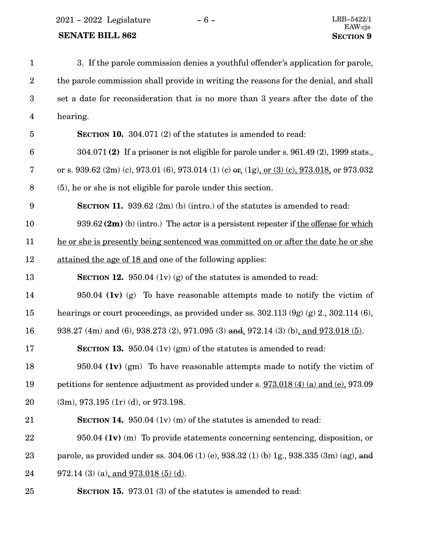$2021 - 2022$  Legislature  $-6 -$  LRB-5422/1

# **SENATE BILL 862 SECTION** 9

| $\mathbf{1}$     | 3. If the parole commission denies a youthful offender's application for parole,                    |
|------------------|-----------------------------------------------------------------------------------------------------|
| $\boldsymbol{2}$ | the parole commission shall provide in writing the reasons for the denial, and shall                |
| 3                | set a date for reconsideration that is no more than 3 years after the date of the                   |
| 4                | hearing.                                                                                            |
| 5                | <b>SECTION 10.</b> 304.071 (2) of the statutes is amended to read:                                  |
| $6\phantom{1}6$  | $304.071(2)$ If a prisoner is not eligible for parole under s. 961.49 (2), 1999 stats.              |
| 7                | or s. 939.62 $(2m)$ (c), 973.01 (6), 973.014 (1) (c) or, $(1g)$ , or $(3)$ (c), 973.018, or 973.032 |
| 8                | (5), he or she is not eligible for parole under this section.                                       |
| $9\phantom{.0}$  | <b>SECTION 11.</b> 939.62 $(2m)$ (b) (intro.) of the statutes is amended to read:                   |
| 10               | $939.62$ (2m) (b) (intro.) The actor is a persistent repeater if the offense for which              |
| 11               | he or she is presently being sentenced was committed on or after the date he or she                 |
| 12               | attained the age of 18 and one of the following applies:                                            |
| 13               | <b>SECTION 12.</b> 950.04 (1v) (g) of the statutes is amended to read:                              |
| 14               | $950.04$ (1v) (g) To have reasonable attempts made to notify the victim of                          |
| 15               | hearings or court proceedings, as provided under ss. $302.113(9g)(g) 2., 302.114(6),$               |
| 16               | 938.27 (4m) and (6), 938.273 (2), 971.095 (3) and, 972.14 (3) (b), and 973.018 (5).                 |
| 17               | <b>SECTION 13.</b> 950.04 (1v) (gm) of the statutes is amended to read:                             |
| 18               | 950.04 $(1v)$ (gm) To have reasonable attempts made to notify the victim of                         |
| 19               | petitions for sentence adjustment as provided under s. 973.018 (4) (a) and (e), 973.09              |
| 20               | $(3m)$ , 973.195 $(1r)$ (d), or 973.198.                                                            |
| 21               | <b>SECTION 14.</b> 950.04 $(1v)$ (m) of the statutes is amended to read:                            |
| 22               | $950.04$ (1v) (m) To provide statements concerning sentencing, disposition, or                      |
| 23               | parole, as provided under ss. 304.06 (1) (e), 938.32 (1) (b) 1g., 938.335 (3m) (ag), and            |
| 24               | $972.14$ (3) (a), and $973.018$ (5) (d).                                                            |
| 25               | <b>SECTION 15.</b> 973.01 (3) of the statutes is amended to read:                                   |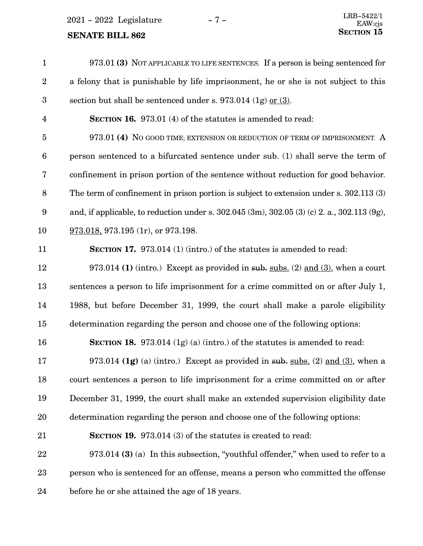2021 - 2022 Legislature - 7 -

| $\mathbf{1}$            | 973.01 (3) NOT APPLICABLE TO LIFE SENTENCES. If a person is being sentenced for                   |
|-------------------------|---------------------------------------------------------------------------------------------------|
| $\boldsymbol{2}$        | a felony that is punishable by life imprisonment, he or she is not subject to this                |
| $\boldsymbol{3}$        | section but shall be sentenced under s. $973.014$ (1g) or (3).                                    |
| $\overline{\mathbf{4}}$ | <b>SECTION 16.</b> 973.01 (4) of the statutes is amended to read:                                 |
| $\overline{5}$          | 973.01 (4) No GOOD TIME; EXTENSION OR REDUCTION OF TERM OF IMPRISONMENT. A                        |
| $\boldsymbol{6}$        | person sentenced to a bifurcated sentence under sub. (1) shall serve the term of                  |
| 7                       | confinement in prison portion of the sentence without reduction for good behavior.                |
| $\, 8$                  | The term of confinement in prison portion is subject to extension under s. 302.113 (3)            |
| 9                       | and, if applicable, to reduction under s. $302.045$ (3m), $302.05$ (3) (c) 2. a., $302.113$ (9g), |
| 10                      | $973.018$ , 973.195 (1r), or 973.198.                                                             |
| 11                      | <b>SECTION 17.</b> 973.014 (1) (intro.) of the statutes is amended to read:                       |
| 12                      | 973.014 (1) (intro.) Except as provided in sub. subs. (2) and (3), when a court                   |
| 13                      | sentences a person to life imprisonment for a crime committed on or after July 1,                 |
| 14                      | 1988, but before December 31, 1999, the court shall make a parole eligibility                     |
| 15                      | determination regarding the person and choose one of the following options:                       |
| 16                      | <b>SECTION 18.</b> 973.014 $(1g)$ (a) (intro.) of the statutes is amended to read:                |
| 17                      | 973.014 (1g) (a) (intro.) Except as provided in sub. subs. (2) and (3), when a                    |
| 18                      | court sentences a person to life imprisonment for a crime committed on or after                   |
| 19                      | December 31, 1999, the court shall make an extended supervision eligibility date                  |
| 20                      | determination regarding the person and choose one of the following options:                       |
| 21                      | <b>SECTION 19.</b> 973.014 (3) of the statutes is created to read:                                |
| 22                      | $973.014$ (3) (a) In this subsection, "youthful offender," when used to refer to a                |
| 23                      | person who is sentenced for an offense, means a person who committed the offense                  |
| 24                      | before he or she attained the age of 18 years.                                                    |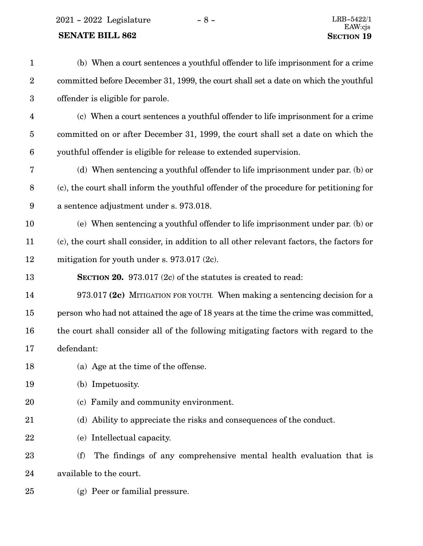2021 - 2022 Legislature -  $8$  -

| $\mathbf{1}$     | (b) When a court sentences a youthful offender to life imprisonment for a crime           |
|------------------|-------------------------------------------------------------------------------------------|
| $\sqrt{2}$       | committed before December 31, 1999, the court shall set a date on which the youthful      |
| $\sqrt{3}$       | offender is eligible for parole.                                                          |
| $\overline{4}$   | (c) When a court sentences a youthful offender to life imprisonment for a crime           |
| $\bf 5$          | committed on or after December 31, 1999, the court shall set a date on which the          |
| $\boldsymbol{6}$ | youthful offender is eligible for release to extended supervision.                        |
| 7                | (d) When sentencing a youthful offender to life imprisonment under par. (b) or            |
| $8\,$            | (c), the court shall inform the youthful offender of the procedure for petitioning for    |
| $\boldsymbol{9}$ | a sentence adjustment under s. 973.018.                                                   |
| 10               | (e) When sentencing a youthful offender to life imprisonment under par. (b) or            |
| 11               | (c), the court shall consider, in addition to all other relevant factors, the factors for |
| 12               | mitigation for youth under s. $973.017$ (2c).                                             |
| 13               | <b>SECTION 20.</b> 973.017 (2c) of the statutes is created to read:                       |
| 14               | 973.017 (2c) MITIGATION FOR YOUTH. When making a sentencing decision for a                |
| 15               | person who had not attained the age of 18 years at the time the crime was committed,      |
| 16               | the court shall consider all of the following mitigating factors with regard to the       |
| 17               | defendant:                                                                                |
| 18               | (a) Age at the time of the offense.                                                       |
| 19               | (b) Impetuosity.                                                                          |
| 20               | (c) Family and community environment.                                                     |
| 21               | (d) Ability to appreciate the risks and consequences of the conduct.                      |
| 22               | (e) Intellectual capacity.                                                                |
| 23               | The findings of any comprehensive mental health evaluation that is<br>(f)                 |
| 24               | available to the court.                                                                   |
| 25               | (g) Peer or familial pressure.                                                            |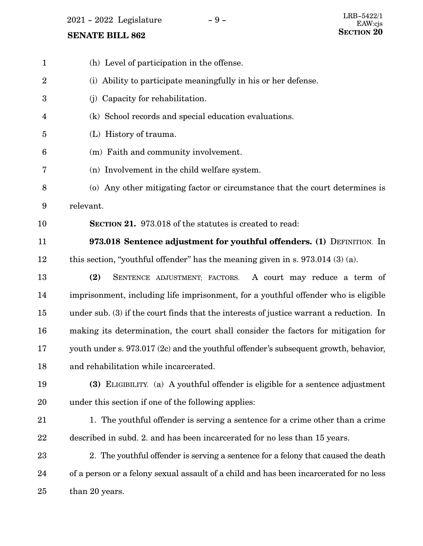$2021$  -  $2022$  Legislature -  $9$  -

| $\mathbf{1}$   | (h) Level of participation in the offense.                                              |
|----------------|-----------------------------------------------------------------------------------------|
| $\overline{2}$ | (i) Ability to participate meaningfully in his or her defense.                          |
| 3              | (j) Capacity for rehabilitation.                                                        |
| 4              | (k) School records and special education evaluations.                                   |
| 5              | (L) History of trauma.                                                                  |
| 6              | (m) Faith and community involvement.                                                    |
| 7              | (n) Involvement in the child welfare system.                                            |
| 8              | (o) Any other mitigating factor or circumstance that the court determines is            |
| 9              | relevant.                                                                               |
| 10             | <b>SECTION 21.</b> 973.018 of the statutes is created to read:                          |
| 11             | 973.018 Sentence adjustment for youthful offenders. (1) DEFINITION. In                  |
| 12             | this section, "youthful offender" has the meaning given in s. $973.014$ (3) (a).        |
| 13             | (2)<br>A court may reduce a term of<br>SENTENCE ADJUSTMENT; FACTORS.                    |
| 14             | imprisonment, including life imprisonment, for a youthful offender who is eligible      |
| 15             | under sub. (3) if the court finds that the interests of justice warrant a reduction. In |
| 16             | making its determination, the court shall consider the factors for mitigation for       |
| 17             | youth under s. 973.017 (2c) and the youthful offender's subsequent growth, behavior,    |
| 18             | and rehabilitation while incarcerated.                                                  |
| 19             | (3) ELIGIBILITY. (a) A youthful offender is eligible for a sentence adjustment          |
| 20             | under this section if one of the following applies:                                     |
| 21             | 1. The youthful offender is serving a sentence for a crime other than a crime           |
| 22             | described in subd. 2. and has been incarcerated for no less than 15 years.              |
| 23             | 2. The youthful offender is serving a sentence for a felony that caused the death       |
| 24             | of a person or a felony sexual assault of a child and has been incarcerated for no less |
| 25             | than 20 years.                                                                          |
|                |                                                                                         |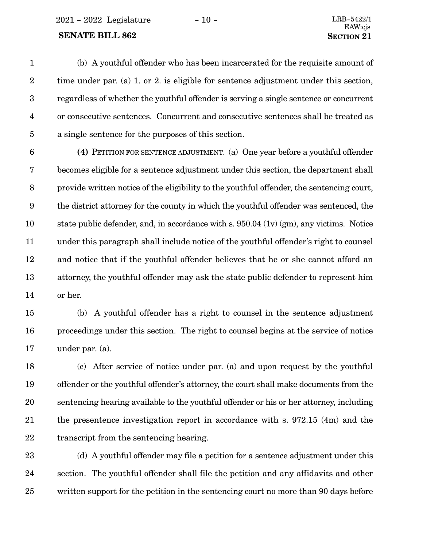2021 - 2022 Legislature - 10 - LRB-5422/1

#### **SENATE BILL 862 SECTION** 21

(b) A youthful offender who has been incarcerated for the requisite amount of time under par. (a) 1. or 2. is eligible for sentence adjustment under this section, regardless of whether the youthful offender is serving a single sentence or concurrent or consecutive sentences. Concurrent and consecutive sentences shall be treated as a single sentence for the purposes of this section. 1 2 3 4 5

**(4)** PETITION FOR SENTENCE ADJUSTMENT. (a) One year before a youthful offender becomes eligible for a sentence adjustment under this section, the department shall provide written notice of the eligibility to the youthful offender, the sentencing court, the district attorney for the county in which the youthful offender was sentenced, the state public defender, and, in accordance with s. 950.04 (1v) (gm), any victims. Notice under this paragraph shall include notice of the youthful offender's right to counsel and notice that if the youthful offender believes that he or she cannot afford an attorney, the youthful offender may ask the state public defender to represent him or her. 6 7 8 9 10 11 12 13 14

(b) A youthful offender has a right to counsel in the sentence adjustment proceedings under this section. The right to counsel begins at the service of notice under par. (a). 15 16 17

(c) After service of notice under par. (a) and upon request by the youthful offender or the youthful offender's attorney, the court shall make documents from the sentencing hearing available to the youthful offender or his or her attorney, including the presentence investigation report in accordance with s. 972.15 (4m) and the transcript from the sentencing hearing. 18 19 20 21 22

(d) A youthful offender may file a petition for a sentence adjustment under this section. The youthful offender shall file the petition and any affidavits and other written support for the petition in the sentencing court no more than 90 days before 23 24 25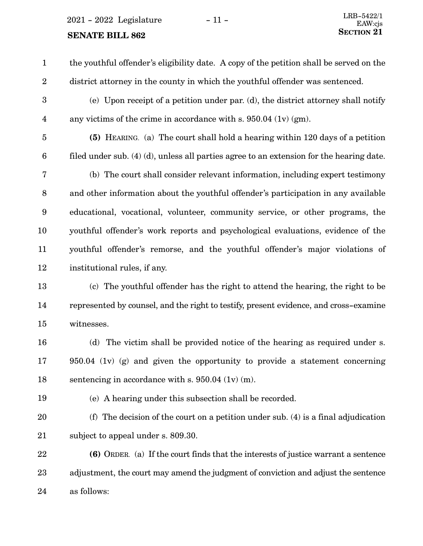$2021 - 2022$  Legislature  $-11 -$ 

# **SENATE BILL 862** SECTION 21

the youthful offender's eligibility date. A copy of the petition shall be served on the district attorney in the county in which the youthful offender was sentenced. 1 2

(e) Upon receipt of a petition under par. (d), the district attorney shall notify any victims of the crime in accordance with s. 950.04 (1v) (gm). 3 4

5

**(5)** HEARING. (a) The court shall hold a hearing within 120 days of a petition filed under sub. (4) (d), unless all parties agree to an extension for the hearing date. 6

(b) The court shall consider relevant information, including expert testimony and other information about the youthful offender's participation in any available educational, vocational, volunteer, community service, or other programs, the youthful offender's work reports and psychological evaluations, evidence of the youthful offender's remorse, and the youthful offender's major violations of institutional rules, if any. 7 8 9 10 11 12

(c)The youthful offender has the right to attend the hearing, the right to be represented by counsel, and the right to testify, present evidence, and cross-examine witnesses. 13 14 15

(d) The victim shall be provided notice of the hearing as required under s. 950.04 (1v) (g) and given the opportunity to provide a statement concerning sentencing in accordance with s. 950.04 (1v) (m). 16 17 18

19

(e) A hearing under this subsection shall be recorded.

(f) The decision of the court on a petition under sub. (4) is a final adjudication subject to appeal under s. 809.30. 20 21

**(6)** ORDER. (a) If the court finds that the interests of justice warrant a sentence adjustment, the court may amend the judgment of conviction and adjust the sentence as follows: 22 23 24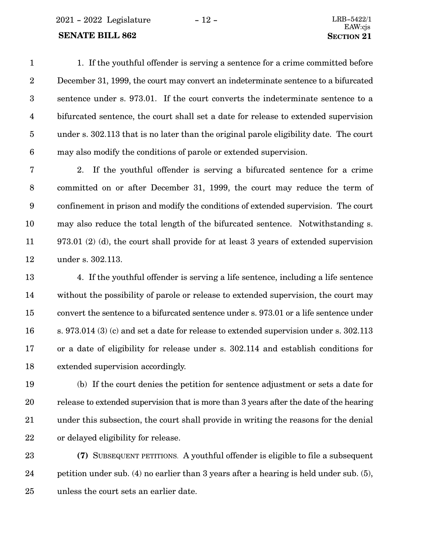2021 - 2022 Legislature - 12 - LRB-5422/1

#### **SENATE BILL 862 SECTION** 21

1. If the youthful offender is serving a sentence for a crime committed before December 31, 1999, the court may convert an indeterminate sentence to a bifurcated sentence under s. 973.01. If the court converts the indeterminate sentence to a bifurcated sentence, the court shall set a date for release to extended supervision under s. 302.113 that is no later than the original parole eligibility date. The court may also modify the conditions of parole or extended supervision. 1 2 3 4 5 6

2. If the youthful offender is serving a bifurcated sentence for a crime committed on or after December 31, 1999, the court may reduce the term of confinement in prison and modify the conditions of extended supervision. The court may also reduce the total length of the bifurcated sentence. Notwithstanding s. 973.01 (2) (d), the court shall provide for at least 3 years of extended supervision under s. 302.113. 7 8 9 10 11 12

4. If the youthful offender is serving a life sentence, including a life sentence without the possibility of parole or release to extended supervision, the court may convert the sentence to a bifurcated sentence under s. 973.01 or a life sentence under s. 973.014 (3) (c) and set a date for release to extended supervision under s. 302.113 or a date of eligibility for release under s. 302.114 and establish conditions for extended supervision accordingly. 13 14 15 16 17 18

(b) If the court denies the petition for sentence adjustment or sets a date for release to extended supervision that is more than 3 years after the date of the hearing under this subsection, the court shall provide in writing the reasons for the denial or delayed eligibility for release. 19 20 21 22

**(7)** SUBSEQUENT PETITIONS. A youthful offender is eligible to file a subsequent petition under sub. (4) no earlier than 3 years after a hearing is held under sub. (5), unless the court sets an earlier date. 23 24 25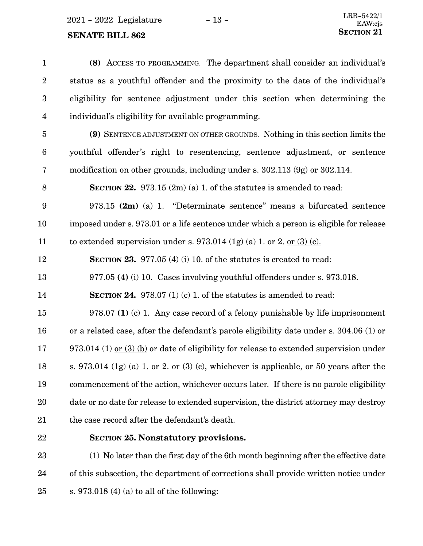# **SENATE BILL 862**

| $\mathbf{1}$            | (8) ACCESS TO PROGRAMMING. The department shall consider an individual's                  |
|-------------------------|-------------------------------------------------------------------------------------------|
| $\sqrt{2}$              | status as a youthful offender and the proximity to the date of the individual's           |
| $\boldsymbol{3}$        | eligibility for sentence adjustment under this section when determining the               |
| $\overline{\mathbf{4}}$ | individual's eligibility for available programming.                                       |
| $\overline{5}$          | (9) SENTENCE ADJUSTMENT ON OTHER GROUNDS. Nothing in this section limits the              |
| $\boldsymbol{6}$        | youthful offender's right to resentencing, sentence adjustment, or sentence               |
| 7                       | modification on other grounds, including under s. 302.113 (9g) or 302.114.                |
| 8                       | <b>SECTION 22.</b> 973.15 $(2m)(a)$ 1. of the statutes is amended to read:                |
| $\boldsymbol{9}$        | 973.15 $(2m)$ (a) 1. "Determinate sentence" means a bifurcated sentence                   |
| 10                      | imposed under s. 973.01 or a life sentence under which a person is eligible for release   |
| 11                      | to extended supervision under s. 973.014 $(1g)(a)$ 1. or 2. or $(3)(c)$ .                 |
| 12                      | <b>SECTION 23.</b> 977.05 (4) (i) 10. of the statutes is created to read:                 |
| 13                      | 977.05 (4) (i) 10. Cases involving youthful offenders under s. 973.018.                   |
| 14                      | <b>SECTION 24.</b> 978.07 (1) (c) 1. of the statutes is amended to read:                  |
| 15                      | 978.07 (1) (c) 1. Any case record of a felony punishable by life imprisonment             |
| 16                      | or a related case, after the defendant's parole eligibility date under s. 304.06 (1) or   |
| 17                      | $973.014$ (1) or (3) (b) or date of eligibility for release to extended supervision under |
| 18                      | s. 973.014 (1g) (a) 1. or 2. or $(3)$ (c), whichever is applicable, or 50 years after the |
| 19                      | commencement of the action, whichever occurs later. If there is no parole eligibility     |
| 20                      | date or no date for release to extended supervision, the district attorney may destroy    |
| 21                      | the case record after the defendant's death.                                              |
|                         |                                                                                           |

22

# **SECTION 25.**0**Nonstatutory provisions.**

(1) No later than the first day of the 6th month beginning after the effective date of this subsection, the department of corrections shall provide written notice under s. 973.018 (4) (a) to all of the following: 23 24 25